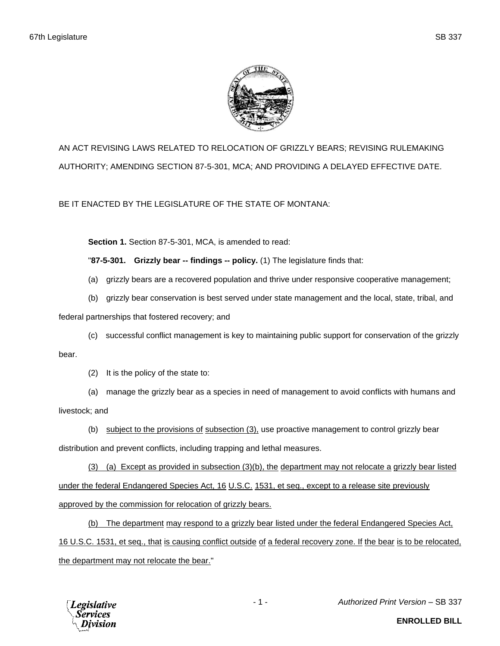

AN ACT REVISING LAWS RELATED TO RELOCATION OF GRIZZLY BEARS; REVISING RULEMAKING AUTHORITY; AMENDING SECTION 87-5-301, MCA; AND PROVIDING A DELAYED EFFECTIVE DATE.

BE IT ENACTED BY THE LEGISLATURE OF THE STATE OF MONTANA:

**Section 1.** Section 87-5-301, MCA, is amended to read:

"**87-5-301. Grizzly bear -- findings -- policy.** (1) The legislature finds that:

- (a) grizzly bears are a recovered population and thrive under responsive cooperative management;
- (b) grizzly bear conservation is best served under state management and the local, state, tribal, and

federal partnerships that fostered recovery; and

(c) successful conflict management is key to maintaining public support for conservation of the grizzly

bear.

(2) It is the policy of the state to:

(a) manage the grizzly bear as a species in need of management to avoid conflicts with humans and

livestock; and

(b) subject to the provisions of subsection (3), use proactive management to control grizzly bear

distribution and prevent conflicts, including trapping and lethal measures.

(3) (a) Except as provided in subsection (3)(b), the department may not relocate a grizzly bear listed under the federal Endangered Species Act, 16 U.S.C. 1531, et seq., except to a release site previously approved by the commission for relocation of grizzly bears.

(b) The department may respond to a grizzly bear listed under the federal Endangered Species Act, 16 U.S.C. 1531, et seq., that is causing conflict outside of a federal recovery zone. If the bear is to be relocated, the department may not relocate the bear."



- 1 - *Authorized Print Version* – SB 337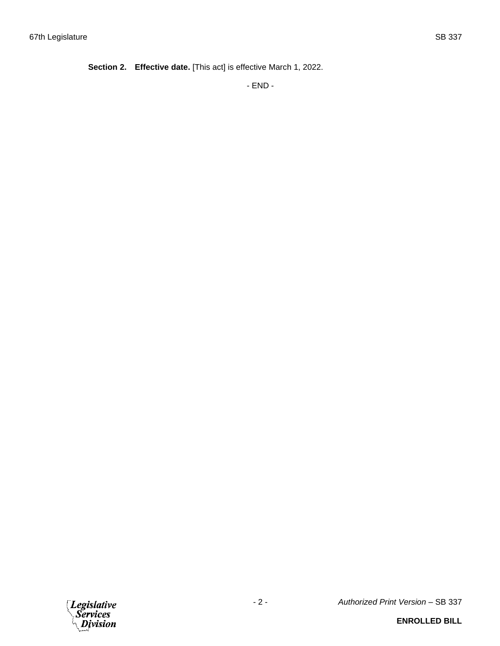**Section 2. Effective date.** [This act] is effective March 1, 2022.

- END -

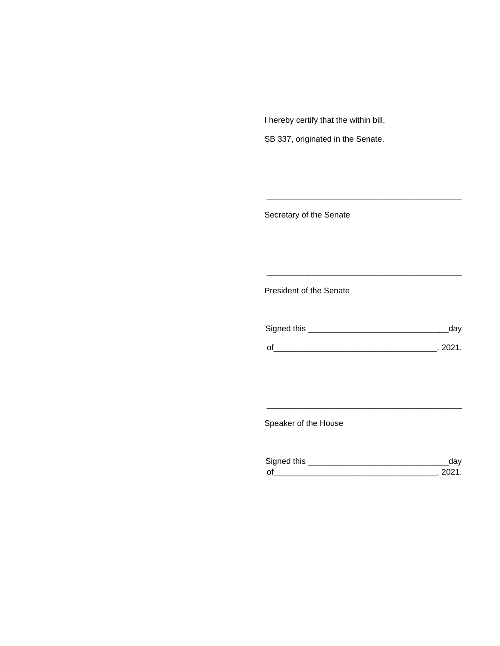I hereby certify that the within bill,

SB 337, originated in the Senate.

Secretary of the Senate

President of the Senate

| Signed this | uav    |
|-------------|--------|
|             | 111'11 |
| $\Omega$    |        |

\_\_\_\_\_\_\_\_\_\_\_\_\_\_\_\_\_\_\_\_\_\_\_\_\_\_\_\_\_\_\_\_\_\_\_\_\_\_\_\_\_\_\_

\_\_\_\_\_\_\_\_\_\_\_\_\_\_\_\_\_\_\_\_\_\_\_\_\_\_\_\_\_\_\_\_\_\_\_\_\_\_\_\_\_\_\_

Speaker of the House

| Sianed this |  |
|-------------|--|
| $\Omega$    |  |

\_\_\_\_\_\_\_\_\_\_\_\_\_\_\_\_\_\_\_\_\_\_\_\_\_\_\_\_\_\_\_\_\_\_\_\_\_\_\_\_\_\_\_